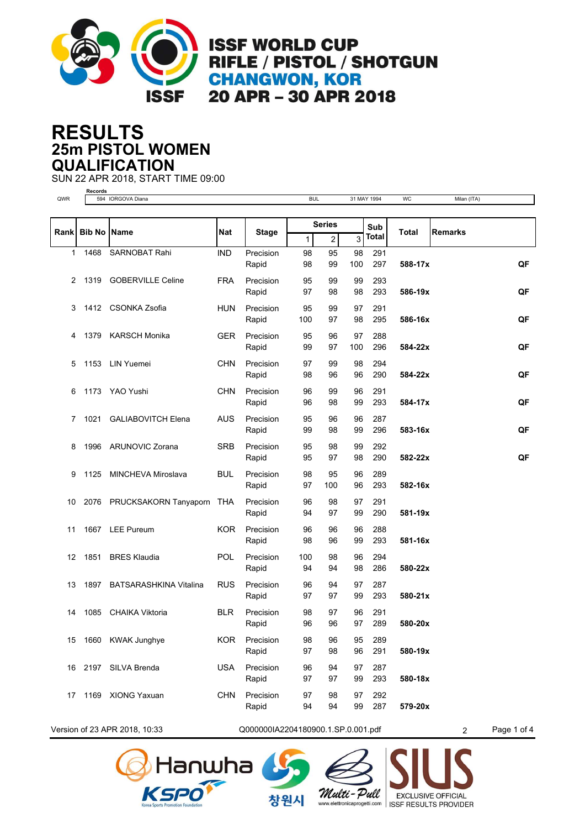

**ISSF WORLD CUP** RIFLE / PISTOL / SHOTGUN **CHANGWON, KOR** 20 APR - 30 APR 2018

## **25m PISTOL WOMEN RESULTS QUALIFICATION**

**Records**

SUN 22 APR 2018, START TIME 09:00

QWR 594 IORGOVA Diana **BUL 31 MAY 1994 WC Milan (ITA) Bib No Name Nat Stage Total Series** Rank Bib No Name **Rank** Nat Stage **Rank** Sub Total Remarks 1 2 3 Total Rapid 98 99 100 297 291 **588-17x** 1 1468 SARNOBAT Rahi IND Precision **QF** 98 95 98 100 Rapid 97 98 98 293 293 **586-19x** 2 1319 GOBERVILLE Celine FRA Precision **QF** 95 99 99 98 Rapid 100 97 98 295 291 **586-16x** 3 1412 CSONKA Zsofia HUN Precision **QF** 95 99 97 100 Rapid 99 97 100 296 288 **584-22x** 4 1379 KARSCH Monika GER Precision **QF** 95 96 97 100 Rapid 98 96 96 290 294 **584-22x** 5 1153 LIN Yuemei CHN Precision **QF** 97 99 98 98 96 96 Rapid 96 98 99 293 291 **584-17x** 6 1173 YAO Yushi CHN Precision **QF** 96 99 96 96 98 99 Rapid 99 98 99 296 287 **583-16x** 7 1021 GALIABOVITCH Elena AUS Precision **QF** 95 96 96 99 98 99 Rapid 95 97 98 290 292 **582-22x** 8 1996 ARUNOVIC Zorana SRB Precision **QF** 95 98 99 95 97 98 Rapid 97 100 96 293 289 **582-16x** 9 1125 MINCHEVA Miroslava BUL Precision 98 95 96 100 Rapid 94 97 99 290 291 **581-19x** 10 2076 PRUCKSAKORN Tanyaporn THA Precision 96 98 97 97 Rapid 98 96 99 293 288 **581-16x** 11 1667 LEE Pureum KOR Precision 96 96 96 98 96 99 Rapid 94 94 98 286 294 **580-22x** 12 1851 BRES Klaudia POL Precision 100 98 96 94 Rapid 97 97 99 293 287 **580-21x** 13 1897 BATSARASHKINA Vitalina RUS Precision 96 94 97 99 Rapid 96 96 97 289 291 **580-20x** 14 1085 CHAIKA Viktoria BLR Precision 98 97 96 96 96 97 Rapid 97 98 96 291 289 **580-19x** 15 1660 KWAK Junghye KOR Precision 98 96 95 98 Rapid 97 97 99 293 287 **580-18x** 16 2197 SILVA Brenda USA Precision 96 94 97 97 Rapid 94 94 99 287 292 **579-20x** 17 1169 XIONG Yaxuan CHN Precision 97 98 97 99

Version of 23 APR 2018, 10:33 Q000000IA2204180900.1.SP.0.001.pdf 2 Page 1 of 4







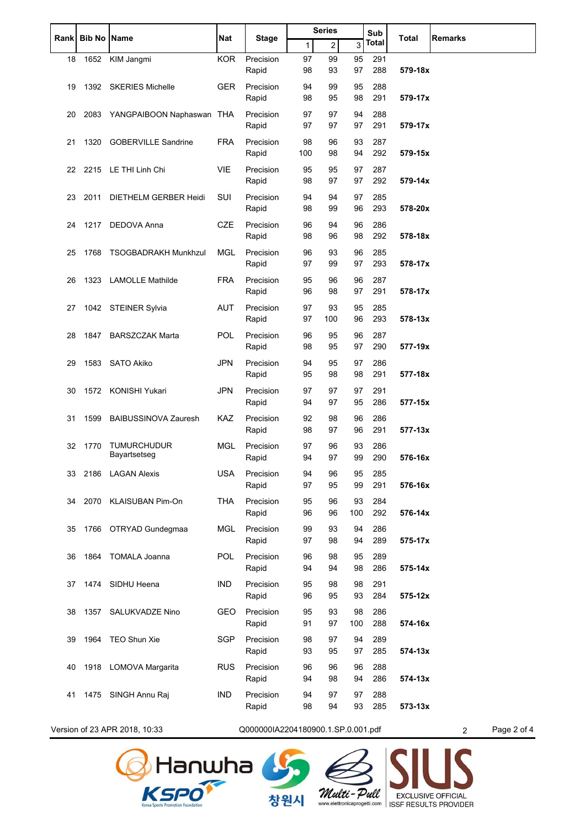| Rank | <b>Bib No Name</b> |                                | Nat        | Stage                              | <b>Series</b> |     |     | Sub   | <b>Total</b> | <b>Remarks</b>                |
|------|--------------------|--------------------------------|------------|------------------------------------|---------------|-----|-----|-------|--------------|-------------------------------|
|      |                    |                                |            |                                    | $\mathbf{1}$  | 2   | 3   | Total |              |                               |
| 18   |                    | 1652 KIM Jangmi                | <b>KOR</b> | Precision                          | 97            | 99  | 95  | 291   |              |                               |
|      |                    |                                |            | Rapid                              | 98            | 93  | 97  | 288   | 579-18x      |                               |
| 19   |                    | 1392 SKERIES Michelle          | <b>GER</b> | Precision                          | 94            | 99  | 95  | 288   |              |                               |
|      |                    |                                |            | Rapid                              | 98            | 95  | 98  | 291   | 579-17x      |                               |
| 20   |                    | 2083 YANGPAIBOON Naphaswan THA |            | Precision                          | 97            | 97  | 94  | 288   |              |                               |
|      |                    |                                |            | Rapid                              | 97            | 97  | 97  | 291   | 579-17x      |                               |
| 21   |                    | 1320 GOBERVILLE Sandrine       | <b>FRA</b> | Precision                          | 98            | 96  | 93  | 287   |              |                               |
|      |                    |                                |            | Rapid                              | 100           | 98  | 94  | 292   | 579-15x      |                               |
| 22   |                    | 2215 LE THI Linh Chi           | <b>VIE</b> | Precision                          | 95            | 95  | 97  | 287   |              |                               |
|      |                    |                                |            | Rapid                              | 98            | 97  | 97  | 292   | 579-14x      |                               |
| 23   |                    | 2011 DIETHELM GERBER Heidi     | SUI        | Precision                          | 94            | 94  | 97  | 285   |              |                               |
|      |                    |                                |            | Rapid                              | 98            | 99  | 96  | 293   | 578-20x      |                               |
| 24   | 1217               | DEDOVA Anna                    | <b>CZE</b> | Precision                          | 96            | 94  | 96  | 286   |              |                               |
|      |                    |                                |            | Rapid                              | 98            | 96  | 98  | 292   | 578-18x      |                               |
| 25   | 1768               | <b>TSOGBADRAKH Munkhzul</b>    | <b>MGL</b> | Precision                          | 96            | 93  | 96  | 285   |              |                               |
|      |                    |                                |            | Rapid                              | 97            | 99  | 97  | 293   | 578-17x      |                               |
| 26   |                    | 1323 LAMOLLE Mathilde          | <b>FRA</b> | Precision                          | 95            | 96  | 96  | 287   |              |                               |
|      |                    |                                |            | Rapid                              | 96            | 98  | 97  | 291   | 578-17x      |                               |
| 27   |                    | 1042 STEINER Sylvia            | <b>AUT</b> | Precision                          | 97            | 93  | 95  | 285   |              |                               |
|      |                    |                                |            | Rapid                              | 97            | 100 | 96  | 293   | 578-13x      |                               |
| 28   |                    | 1847 BARSZCZAK Marta           | POL        | Precision                          | 96            | 95  | 96  | 287   |              |                               |
|      |                    |                                |            | Rapid                              | 98            | 95  | 97  | 290   | 577-19x      |                               |
| 29   |                    | 1583 SATO Akiko                | <b>JPN</b> | Precision                          | 94            | 95  | 97  | 286   |              |                               |
|      |                    |                                |            | Rapid                              | 95            | 98  | 98  | 291   | 577-18x      |                               |
| 30   | 1572               | KONISHI Yukari                 | <b>JPN</b> | Precision                          | 97            | 97  | 97  | 291   |              |                               |
|      |                    |                                |            | Rapid                              | 94            | 97  | 95  | 286   | 577-15x      |                               |
| 31   | 1599               | <b>BAIBUSSINOVA Zauresh</b>    | <b>KAZ</b> | Precision                          | 92            | 98  | 96  | 286   |              |                               |
|      |                    |                                |            | Rapid                              | 98            | 97  | 96  | 291   | 577-13x      |                               |
| 32   | 1770               | <b>TUMURCHUDUR</b>             | <b>MGL</b> | Precision                          | 97            | 96  | 93  | 286   |              |                               |
|      |                    | Bayartsetseg                   |            | Rapid                              | 94            | 97  | 99  | 290   | 576-16x      |                               |
| 33   |                    | 2186 LAGAN Alexis              | <b>USA</b> | Precision                          | 94            | 96  | 95  | 285   |              |                               |
|      |                    |                                |            | Rapid                              | 97            | 95  | 99  | 291   | 576-16x      |                               |
| 34   |                    | 2070 KLAISUBAN Pim-On          | <b>THA</b> | Precision                          | 95            | 96  | 93  | 284   |              |                               |
|      |                    |                                |            | Rapid                              | 96            | 96  | 100 | 292   | 576-14x      |                               |
| 35   |                    | 1766 OTRYAD Gundegmaa          | <b>MGL</b> | Precision                          | 99            | 93  | 94  | 286   |              |                               |
|      |                    |                                |            | Rapid                              | 97            | 98  | 94  | 289   | 575-17x      |                               |
| 36   | 1864               | <b>TOMALA Joanna</b>           | POL        | Precision                          | 96            | 98  | 95  | 289   |              |                               |
|      |                    |                                |            | Rapid                              | 94            | 94  | 98  | 286   | 575-14x      |                               |
| 37   |                    | 1474 SIDHU Heena               | <b>IND</b> | Precision                          | 95            | 98  | 98  | 291   |              |                               |
|      |                    |                                |            | Rapid                              | 96            | 95  | 93  | 284   | 575-12x      |                               |
| 38   |                    | 1357 SALUKVADZE Nino           | <b>GEO</b> | Precision                          | 95            | 93  | 98  | 286   |              |                               |
|      |                    |                                |            | Rapid                              | 91            | 97  | 100 | 288   | 574-16x      |                               |
| 39   | 1964               | TEO Shun Xie                   | <b>SGP</b> | Precision                          | 98            | 97  | 94  | 289   |              |                               |
|      |                    |                                |            | Rapid                              | 93            | 95  | 97  | 285   | 574-13x      |                               |
| 40   |                    | 1918 LOMOVA Margarita          | <b>RUS</b> | Precision                          | 96            | 96  | 96  | 288   |              |                               |
|      |                    |                                |            | Rapid                              | 94            | 98  | 94  | 286   | $574 - 13x$  |                               |
| 41   |                    | 1475 SINGH Annu Raj            | <b>IND</b> | Precision                          | 94            | 97  | 97  | 288   |              |                               |
|      |                    |                                |            | Rapid                              | 98            | 94  | 93  | 285   | $573 - 13x$  |                               |
|      |                    |                                |            |                                    |               |     |     |       |              |                               |
|      |                    | Version of 23 APR 2018, 10:33  |            | Q000000IA2204180900.1.SP.0.001.pdf |               |     |     |       |              | Page 2 of 4<br>$\overline{2}$ |



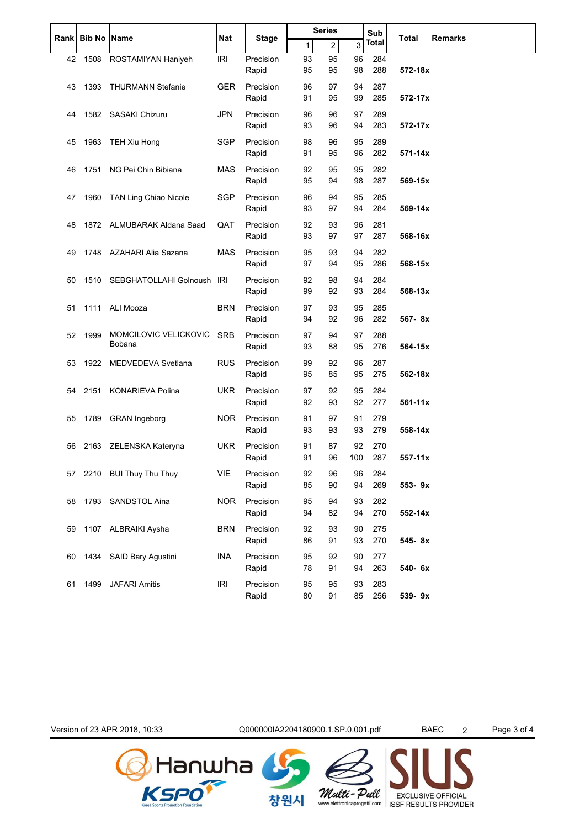|             | <b>Bib No Name</b> |                                 | <b>Nat</b> | <b>Stage</b>       | <b>Series</b> |                |           | Sub          |             |                |
|-------------|--------------------|---------------------------------|------------|--------------------|---------------|----------------|-----------|--------------|-------------|----------------|
| <b>Rank</b> |                    |                                 |            |                    | 1             | $\overline{c}$ | 3         | <b>Total</b> | Total       | <b>Remarks</b> |
| 42          | 1508               | ROSTAMIYAN Haniyeh              | <b>IRI</b> | Precision<br>Rapid | 93<br>95      | 95<br>95       | 96<br>98  | 284<br>288   | 572-18x     |                |
| 43          | 1393               | <b>THURMANN Stefanie</b>        | <b>GER</b> | Precision<br>Rapid | 96<br>91      | 97<br>95       | 94<br>99  | 287<br>285   | 572-17x     |                |
| 44          |                    | 1582 SASAKI Chizuru             | <b>JPN</b> | Precision<br>Rapid | 96<br>93      | 96<br>96       | 97<br>94  | 289<br>283   | 572-17x     |                |
| 45          | 1963               | TEH Xiu Hong                    | SGP        | Precision<br>Rapid | 98<br>91      | 96<br>95       | 95<br>96  | 289<br>282   | $571 - 14x$ |                |
| 46          | 1751               | NG Pei Chin Bibiana             | MAS        | Precision<br>Rapid | 92<br>95      | 95<br>94       | 95<br>98  | 282<br>287   | 569-15x     |                |
| 47          | 1960               | TAN Ling Chiao Nicole           | <b>SGP</b> | Precision<br>Rapid | 96<br>93      | 94<br>97       | 95<br>94  | 285<br>284   | 569-14x     |                |
| 48          |                    | 1872 ALMUBARAK Aldana Saad      | QAT        | Precision<br>Rapid | 92<br>93      | 93<br>97       | 96<br>97  | 281<br>287   | 568-16x     |                |
| 49          |                    | 1748 AZAHARI Alia Sazana        | <b>MAS</b> | Precision<br>Rapid | 95<br>97      | 93<br>94       | 94<br>95  | 282<br>286   | 568-15x     |                |
| 50          | 1510               | SEBGHATOLLAHI Golnoush IRI      |            | Precision<br>Rapid | 92<br>99      | 98<br>92       | 94<br>93  | 284<br>284   | 568-13x     |                |
| 51          | 1111               | ALI Mooza                       | <b>BRN</b> | Precision<br>Rapid | 97<br>94      | 93<br>92       | 95<br>96  | 285<br>282   | 567-8x      |                |
| 52          | 1999               | MOMCILOVIC VELICKOVIC<br>Bobana | <b>SRB</b> | Precision<br>Rapid | 97<br>93      | 94<br>88       | 97<br>95  | 288<br>276   | 564-15x     |                |
| 53          | 1922               | MEDVEDEVA Svetlana              | <b>RUS</b> | Precision<br>Rapid | 99<br>95      | 92<br>85       | 96<br>95  | 287<br>275   | 562-18x     |                |
| 54          | 2151               | <b>KONARIEVA Polina</b>         | <b>UKR</b> | Precision<br>Rapid | 97<br>92      | 92<br>93       | 95<br>92  | 284<br>277   | $561 - 11x$ |                |
| 55          | 1789               | <b>GRAN</b> Ingeborg            | NOR.       | Precision<br>Rapid | 91<br>93      | 97<br>93       | 91<br>93  | 279<br>279   | 558-14x     |                |
| 56          |                    | 2163 ZELENSKA Kateryna          | UKR        | Precision<br>Rapid | 91<br>91      | 87<br>96       | 92<br>100 | 270<br>287   | $557-11x$   |                |
| 57          |                    | 2210 BUI Thuy Thu Thuy          | <b>VIE</b> | Precision<br>Rapid | 92<br>85      | 96<br>90       | 96<br>94  | 284<br>269   | 553-9x      |                |
| 58          |                    | 1793 SANDSTOL Aina              | <b>NOR</b> | Precision<br>Rapid | 95<br>94      | 94<br>82       | 93<br>94  | 282<br>270   | 552-14x     |                |
| 59          |                    | 1107 ALBRAIKI Aysha             | <b>BRN</b> | Precision<br>Rapid | 92<br>86      | 93<br>91       | 90<br>93  | 275<br>270   | 545-8x      |                |
| 60          |                    | 1434 SAID Bary Agustini         | <b>INA</b> | Precision<br>Rapid | 95<br>78      | 92<br>91       | 90<br>94  | 277<br>263   | 540- 6x     |                |
| 61          | 1499               | <b>JAFARI Amitis</b>            | <b>IRI</b> | Precision<br>Rapid | 95<br>80      | 95<br>91       | 93<br>85  | 283<br>256   | 539-9x      |                |

Version of 23 APR 2018, 10:33 Q000000IA2204180900.1.SP.0.001.pdf BAEC 2 Page 3 of 4